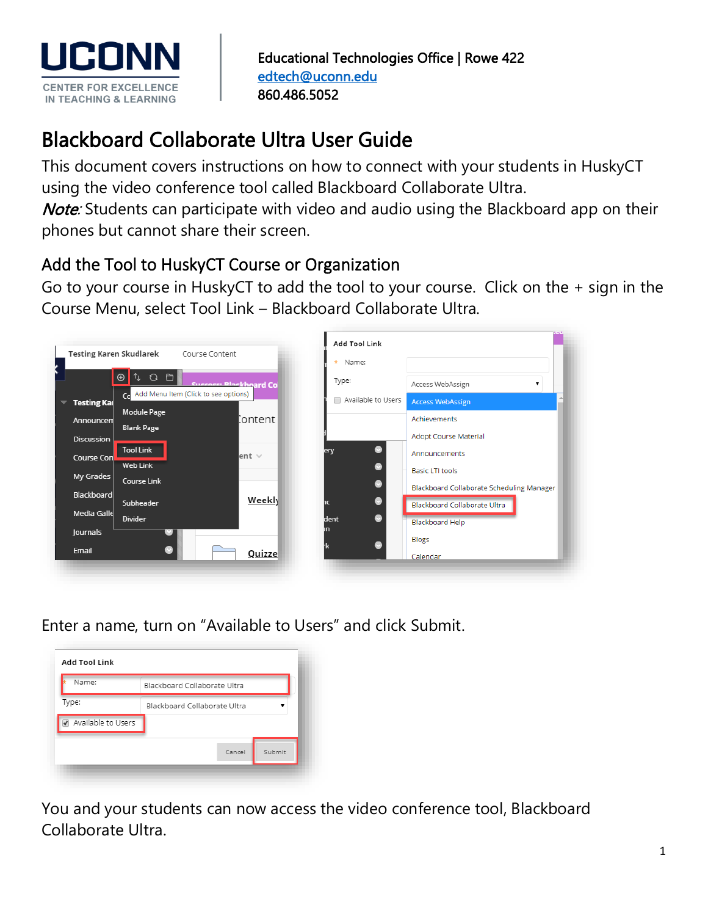

# Blackboard Collaborate Ultra User Guide

This document covers instructions on how to connect with your students in HuskyCT using the video conference tool called Blackboard Collaborate Ultra.

Note: Students can participate with video and audio using the Blackboard app on their phones but cannot share their screen.

## Add the Tool to HuskyCT Course or Organization

Go to your course in HuskyCT to add the tool to your course. Click on the + sign in the Course Menu, select Tool Link – Blackboard Collaborate Ultra.



Enter a name, turn on "Available to Users" and click Submit.

| Blackboard Collaborate Ultra |  |
|------------------------------|--|
| Blackboard Collaborate Ultra |  |
|                              |  |
|                              |  |
|                              |  |

You and your students can now access the video conference tool, Blackboard Collaborate Ultra.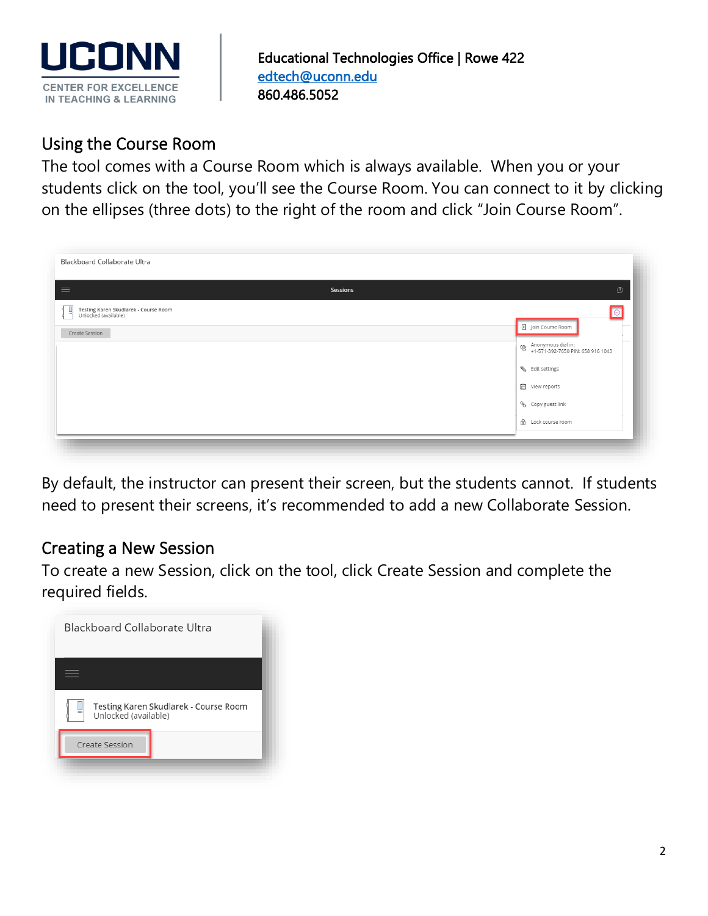

## Using the Course Room

The tool comes with a Course Room which is always available. When you or your students click on the tool, you'll see the Course Room. You can connect to it by clicking on the ellipses (three dots) to the right of the room and click "Join Course Room".

| Sessions | $\oslash$                                                                          |
|----------|------------------------------------------------------------------------------------|
|          | $\Theta$                                                                           |
|          | 9 Join Course Room                                                                 |
|          | Anonymous dial in:<br>$\widehat{\mathscr{C}}$<br>+1-571-392-7650 PIN: 658 916 1043 |
|          | Edit settings                                                                      |
|          | 图 View reports                                                                     |
|          | Copy guest link                                                                    |
|          | d Lock course room                                                                 |
|          |                                                                                    |

By default, the instructor can present their screen, but the students cannot. If students need to present their screens, it's recommended to add a new Collaborate Session.

### Creating a New Session

To create a new Session, click on the tool, click Create Session and complete the required fields.

| Blackboard Collaborate Ultra                                  |
|---------------------------------------------------------------|
|                                                               |
| Testing Karen Skudlarek - Course Room<br>Unlocked (available) |
| Create Session                                                |
|                                                               |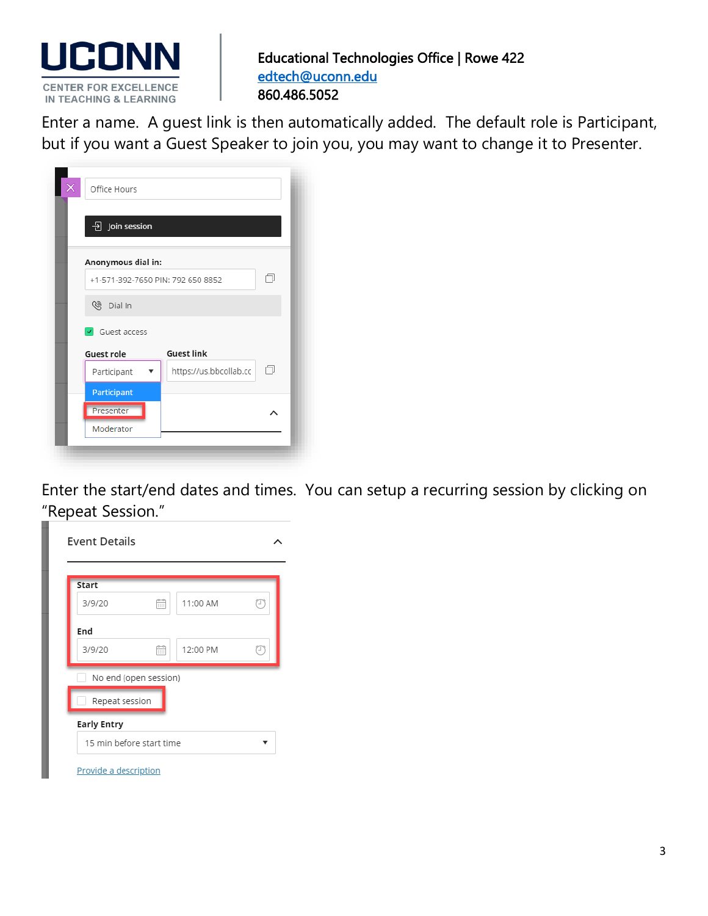

 Enter a name. A guest link is then automatically added. The default role is Participant, but if you want a Guest Speaker to join you, you may want to change it to Presenter.

| Office Hours                     |                                   |   |
|----------------------------------|-----------------------------------|---|
| $\overline{\Theta}$ Join session |                                   |   |
| Anonymous dial in:               |                                   |   |
|                                  | +1-571-392-7650 PIN: 792 650 8852 |   |
| <sup>⑧</sup> Dial In             |                                   |   |
| $\sqrt{G}$ Guest access          |                                   |   |
| Guest role                       | <b>Guest link</b>                 |   |
| Participant                      | https://us.bbcollab.cc            | n |
| Participant                      |                                   |   |
| Presenter                        |                                   |   |
| Moderator                        |                                   |   |

Enter the start/end dates and times. You can setup a recurring session by clicking on "Repeat Session."

| 3/9/20             | m                     | 11:00 AM | P |
|--------------------|-----------------------|----------|---|
| End                |                       |          |   |
| 3/9/20             | m                     | 12:00 PM | P |
|                    | No end (open session) |          |   |
| Repeat session     |                       |          |   |
|                    |                       |          |   |
| <b>Early Entry</b> |                       |          |   |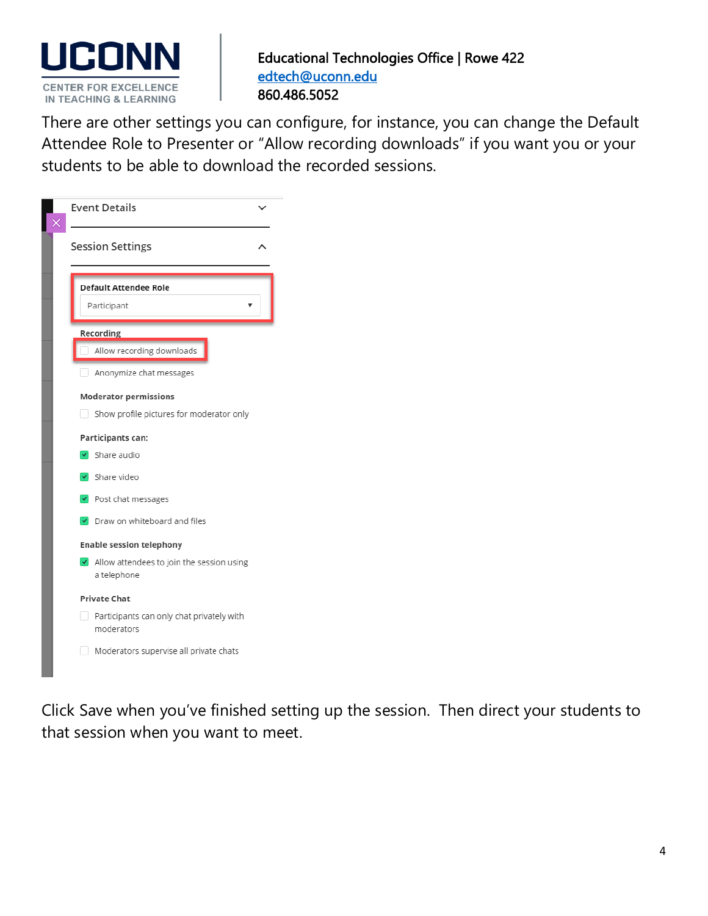

 There are other settings you can configure, for instance, you can change the Default Attendee Role to Presenter or "Allow recording downloads" if you want you or your students to be able to download the recorded sessions.

| <b>Event Details</b>                                                     |
|--------------------------------------------------------------------------|
| <b>Session Settings</b>                                                  |
| <b>Default Attendee Role</b><br>Participant                              |
| Recording<br>Allow recording downloads                                   |
| Anonymize chat messages                                                  |
| <b>Moderator permissions</b><br>Show profile pictures for moderator only |
| Participants can:                                                        |
| $\overline{\smash{\checkmark}}$ Share audio<br>√ Share video             |
| $\vee$ Post chat messages                                                |
| Draw on whiteboard and files<br><b>Enable session telephony</b>          |
| I Allow attendees to join the session using<br>a telephone               |
| <b>Private Chat</b>                                                      |
| Participants can only chat privately with<br>moderators                  |
| Moderators supervise all private chats                                   |

Click Save when you've finished setting up the session. Then direct your students to that session when you want to meet.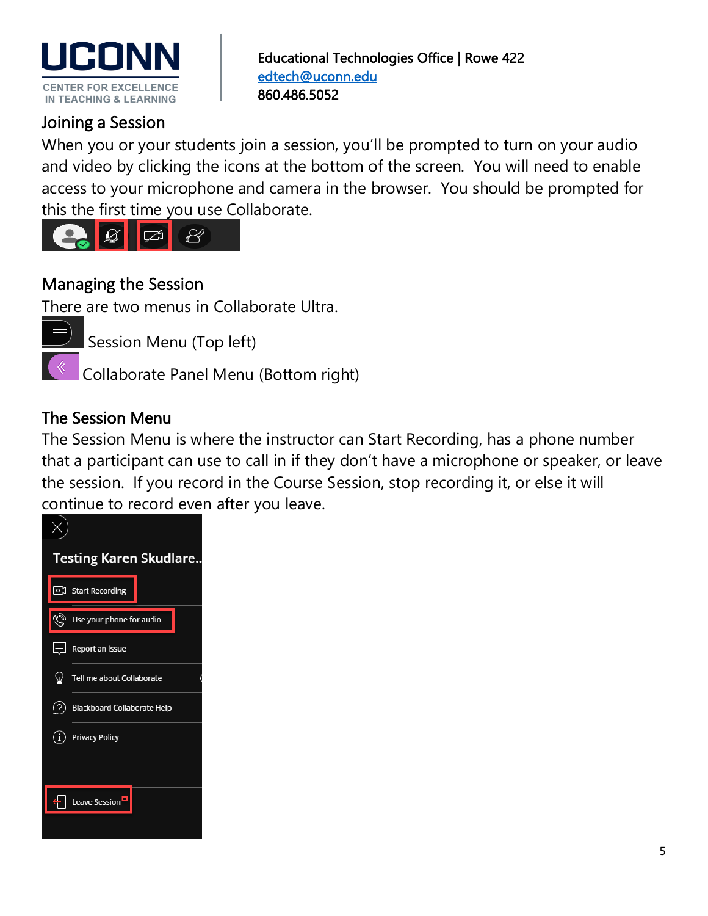

## Joining a Session

When you or your students join a session, you'll be prompted to turn on your audio and video by clicking the icons at the bottom of the screen. You will need to enable access to your microphone and camera in the browser. You should be prompted for this the first time you use Collaborate.



## Managing the Session

There are two menus in Collaborate Ultra.

Session Menu (Top left)

Collaborate Panel Menu (Bottom right)

### The Session Menu

The Session Menu is where the instructor can Start Recording, has a phone number that a participant can use to call in if they don't have a microphone or speaker, or leave the session. If you record in the Course Session, stop recording it, or else it will continue to record even after you leave.

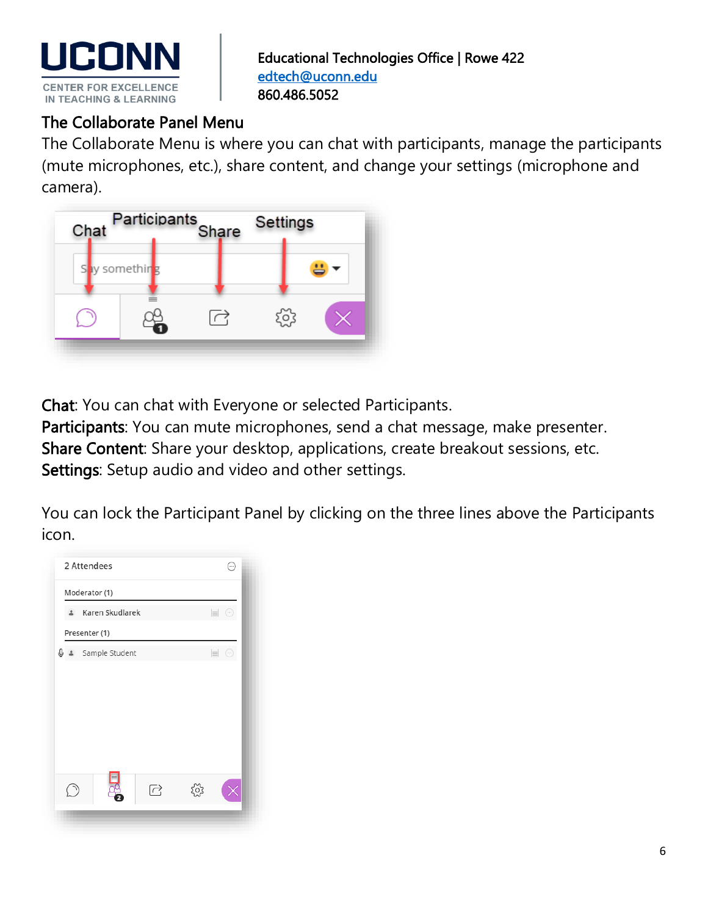

### The Collaborate Panel Menu

The Collaborate Menu is where you can chat with participants, manage the participants (mute microphones, etc.), share content, and change your settings (microphone and camera).



Chat: You can chat with Everyone or selected Participants.

Participants: You can mute microphones, send a chat message, make presenter. Share Content: Share your desktop, applications, create breakout sessions, etc. Settings: Setup audio and video and other settings.

You can lock the Participant Panel by clicking on the three lines above the Participants icon.

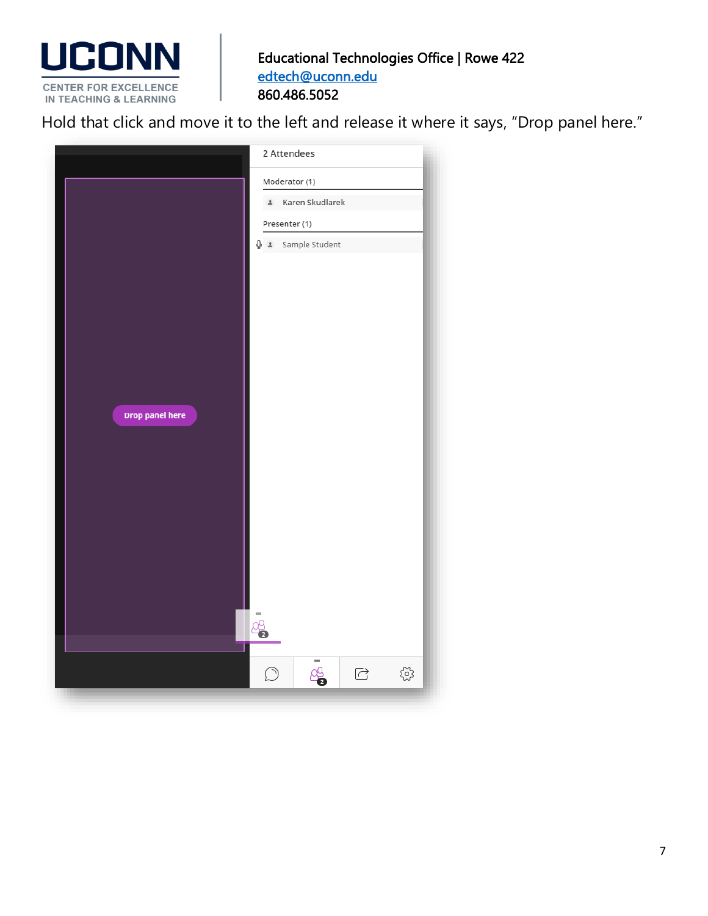

**HOLD TEARS**<br>Hold that click and move it to the left and release it where it says, "Drop panel here."

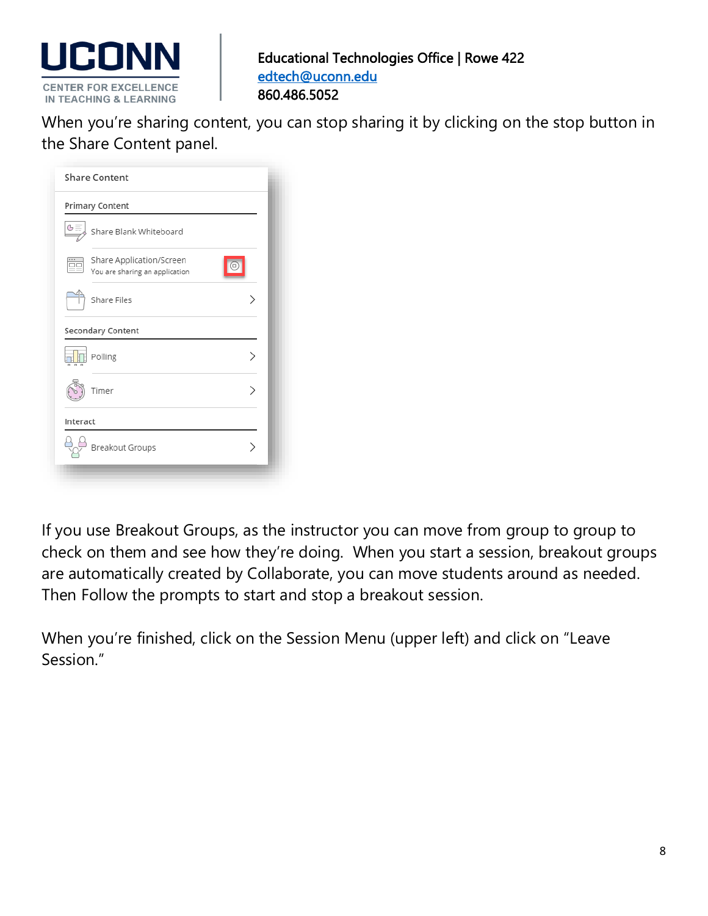

 When you're sharing content, you can stop sharing it by clicking on the stop button in the Share Content panel.

| G            | Primary Content<br>Share Blank Whiteboard     |  |
|--------------|-----------------------------------------------|--|
| ΠC           | Share Application/Screen                      |  |
|              | You are sharing an application<br>Share Files |  |
|              | Secondary Content                             |  |
| <b>n n n</b> | Polling                                       |  |
|              | Timer                                         |  |
| Interact     |                                               |  |
|              | Breakout Groups                               |  |

If you use Breakout Groups, as the instructor you can move from group to group to check on them and see how they're doing. When you start a session, breakout groups are automatically created by Collaborate, you can move students around as needed. Then Follow the prompts to start and stop a breakout session.

When you're finished, click on the Session Menu (upper left) and click on "Leave Session."